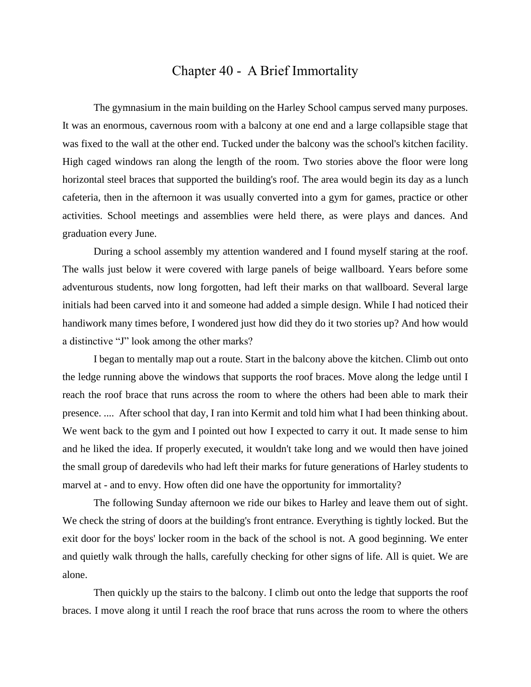## Chapter 40 - A Brief Immortality

The gymnasium in the main building on the Harley School campus served many purposes. It was an enormous, cavernous room with a balcony at one end and a large collapsible stage that was fixed to the wall at the other end. Tucked under the balcony was the school's kitchen facility. High caged windows ran along the length of the room. Two stories above the floor were long horizontal steel braces that supported the building's roof. The area would begin its day as a lunch cafeteria, then in the afternoon it was usually converted into a gym for games, practice or other activities. School meetings and assemblies were held there, as were plays and dances. And graduation every June.

During a school assembly my attention wandered and I found myself staring at the roof. The walls just below it were covered with large panels of beige wallboard. Years before some adventurous students, now long forgotten, had left their marks on that wallboard. Several large initials had been carved into it and someone had added a simple design. While I had noticed their handiwork many times before, I wondered just how did they do it two stories up? And how would a distinctive "J" look among the other marks?

I began to mentally map out a route. Start in the balcony above the kitchen. Climb out onto the ledge running above the windows that supports the roof braces. Move along the ledge until I reach the roof brace that runs across the room to where the others had been able to mark their presence. .... After school that day, I ran into Kermit and told him what I had been thinking about. We went back to the gym and I pointed out how I expected to carry it out. It made sense to him and he liked the idea. If properly executed, it wouldn't take long and we would then have joined the small group of daredevils who had left their marks for future generations of Harley students to marvel at - and to envy. How often did one have the opportunity for immortality?

The following Sunday afternoon we ride our bikes to Harley and leave them out of sight. We check the string of doors at the building's front entrance. Everything is tightly locked. But the exit door for the boys' locker room in the back of the school is not. A good beginning. We enter and quietly walk through the halls, carefully checking for other signs of life. All is quiet. We are alone.

Then quickly up the stairs to the balcony. I climb out onto the ledge that supports the roof braces. I move along it until I reach the roof brace that runs across the room to where the others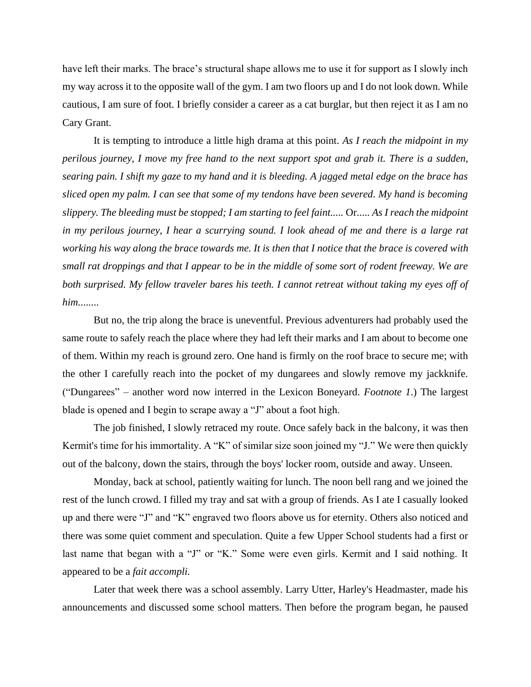have left their marks. The brace's structural shape allows me to use it for support as I slowly inch my way across it to the opposite wall of the gym. I am two floors up and I do not look down. While cautious, I am sure of foot. I briefly consider a career as a cat burglar, but then reject it as I am no Cary Grant.

It is tempting to introduce a little high drama at this point. *As I reach the midpoint in my perilous journey, I move my free hand to the next support spot and grab it. There is a sudden, searing pain. I shift my gaze to my hand and it is bleeding. A jagged metal edge on the brace has sliced open my palm. I can see that some of my tendons have been severed. My hand is becoming slippery. The bleeding must be stopped; I am starting to feel faint.....* Or..... *As I reach the midpoint in my perilous journey, I hear a scurrying sound. I look ahead of me and there is a large rat working his way along the brace towards me. It is then that I notice that the brace is covered with small rat droppings and that I appear to be in the middle of some sort of rodent freeway. We are both surprised. My fellow traveler bares his teeth. I cannot retreat without taking my eyes off of him.*.......

But no, the trip along the brace is uneventful. Previous adventurers had probably used the same route to safely reach the place where they had left their marks and I am about to become one of them. Within my reach is ground zero. One hand is firmly on the roof brace to secure me; with the other I carefully reach into the pocket of my dungarees and slowly remove my jackknife. ("Dungarees" – another word now interred in the Lexicon Boneyard. *Footnote 1*.) The largest blade is opened and I begin to scrape away a "J" about a foot high.

The job finished, I slowly retraced my route. Once safely back in the balcony, it was then Kermit's time for his immortality. A "K" of similar size soon joined my "J." We were then quickly out of the balcony, down the stairs, through the boys' locker room, outside and away. Unseen.

Monday, back at school, patiently waiting for lunch. The noon bell rang and we joined the rest of the lunch crowd. I filled my tray and sat with a group of friends. As I ate I casually looked up and there were "J" and "K" engraved two floors above us for eternity. Others also noticed and there was some quiet comment and speculation. Quite a few Upper School students had a first or last name that began with a "J" or "K." Some were even girls. Kermit and I said nothing. It appeared to be a *fait accompli.*

Later that week there was a school assembly. Larry Utter, Harley's Headmaster, made his announcements and discussed some school matters. Then before the program began, he paused